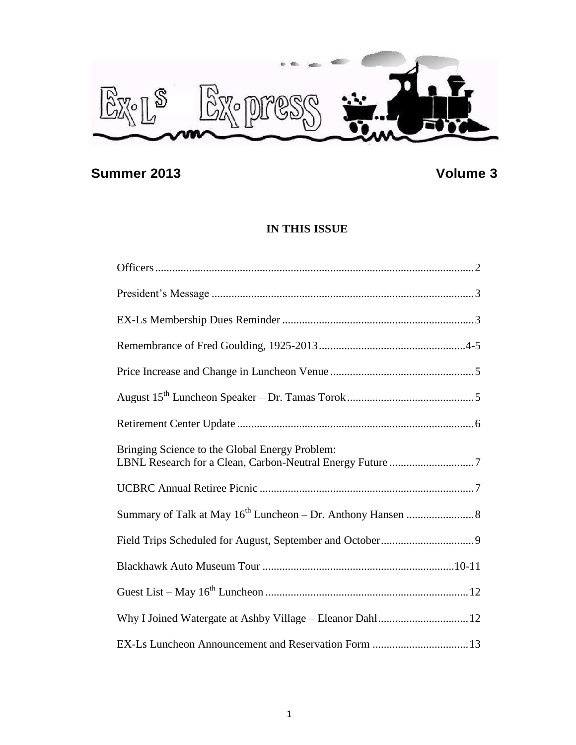

# **Summer 2013 Volume 3**

# **IN THIS ISSUE**

| Bringing Science to the Global Energy Problem:            |  |
|-----------------------------------------------------------|--|
|                                                           |  |
|                                                           |  |
|                                                           |  |
|                                                           |  |
|                                                           |  |
| Why I Joined Watergate at Ashby Village - Eleanor Dahl 12 |  |
|                                                           |  |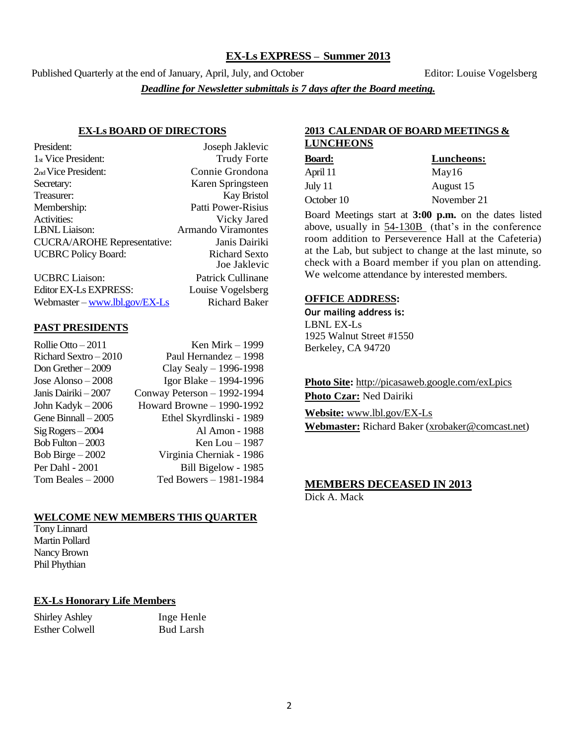#### **EX-Ls EXPRESS – Summer 2013**

Published Quarterly at the end of January, April, July, and October Editor: Louise Vogelsberg *Deadline for Newsletter submittals is 7 days after the Board meeting.*

#### **EX-Ls BOARD OF DIRECTORS**

| President:                         | Joseph Jaklevic           |
|------------------------------------|---------------------------|
| 1 <sub>st</sub> Vice President:    | <b>Trudy Forte</b>        |
| 2 <sub>nd</sub> Vice President:    | Connie Grondona           |
| Secretary:                         | Karen Springsteen         |
| Treasurer:                         | <b>Kay Bristol</b>        |
| Membership:                        | Patti Power-Risius        |
| Activities:                        | Vicky Jared               |
| <b>LBNL</b> Liaison:               | <b>Armando Viramontes</b> |
| <b>CUCRA/AROHE Representative:</b> | Janis Dairiki             |
| <b>UCBRC</b> Policy Board:         | <b>Richard Sexto</b>      |
|                                    | Joe Jaklevic              |
| <b>UCBRC</b> Liaison:              | Patrick Cullinane         |
| Editor EX-Ls EXPRESS:              | Louise Vogelsberg         |
| Webmaster – www.lbl.gov/ $EX$ -Ls  | <b>Richard Baker</b>      |

#### **PAST PRESIDENTS**

| Rollie Otto $-2011$  | Ken Mirk – 1999             |
|----------------------|-----------------------------|
| Richard Sextro-2010  | Paul Hernandez - 1998       |
| Don Grether $-2009$  | Clay Sealy - 1996-1998      |
| Jose Alonso $-2008$  | Igor Blake - 1994-1996      |
| Janis Dairiki – 2007 | Conway Peterson - 1992-1994 |
| John Kadyk $-2006$   | Howard Browne - 1990-1992   |
| Gene Binnall - 2005  | Ethel Skyrdlinski - 1989    |
| $Sig Rogers - 2004$  | Al Amon - 1988              |
| Bob Fulton $-2003$   | Ken Lou $-1987$             |
| Bob Birge $-2002$    | Virginia Cherniak - 1986    |
| Per Dahl - 2001      | Bill Bigelow - 1985         |
| Tom Beales $-2000$   | Ted Bowers - 1981-1984      |
|                      |                             |

#### **WELCOME NEW MEMBERS THIS QUARTER**

Tony Linnard Martin Pollard Nancy Brown Phil Phythian

#### **EX-Ls Honorary Life Members**

Shirley Ashley Inge Henle Esther Colwell Bud Larsh

#### **2013 CALENDAR OF BOARD MEETINGS & LUNCHEONS**

| <b>Board:</b> | Luncheons:  |  |
|---------------|-------------|--|
| April 11      | May16       |  |
| July 11       | August 15   |  |
| October 10    | November 21 |  |

Board Meetings start at **3:00 p.m.** on the dates listed above, usually in 54-130B (that's in the conference room addition to Perseverence Hall at the Cafeteria) at the Lab, but subject to change at the last minute, so check with a Board member if you plan on attending. We welcome attendance by interested members.

#### **OFFICE ADDRESS:**

**Our mailing address is:** LBNL EX-Ls 1925 Walnut Street #1550 Berkeley, CA 94720

**Photo Site:** http://picasaweb.google.com/exLpics

**Photo Czar:** Ned Dairiki

**Website:** [www.lbl.gov/EX-Ls](http://www.lbl.gov/EX-Ls)

**Webmaster:** Richard Baker [\(xrobaker@comcast.net\)](mailto:xrobaker@comcast.net)

# **MEMBERS DECEASED IN 2013**

Dick A. Mack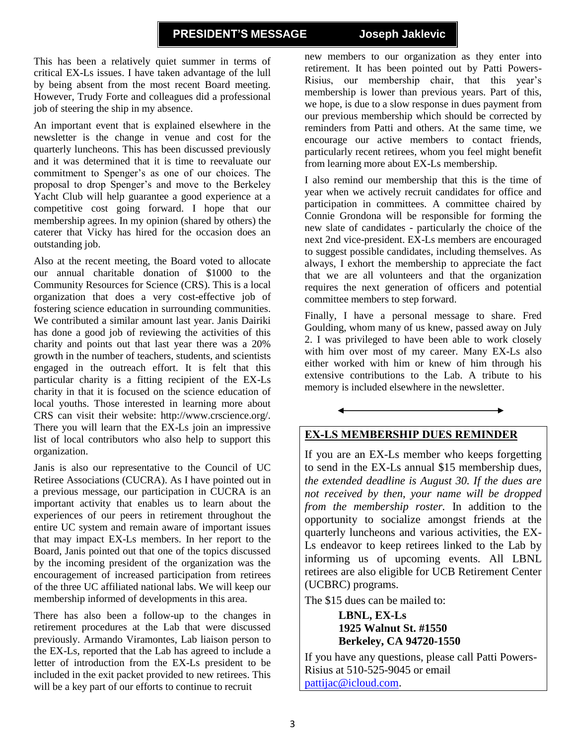#### **PRESIDENT'S MESSAGE Joseph Jaklevic**

This has been a relatively quiet summer in terms of critical EX-Ls issues. I have taken advantage of the lull by being absent from the most recent Board meeting. However, Trudy Forte and colleagues did a professional job of steering the ship in my absence.

An important event that is explained elsewhere in the newsletter is the change in venue and cost for the quarterly luncheons. This has been discussed previously and it was determined that it is time to reevaluate our commitment to Spenger's as one of our choices. The proposal to drop Spenger's and move to the Berkeley Yacht Club will help guarantee a good experience at a competitive cost going forward. I hope that our membership agrees. In my opinion (shared by others) the caterer that Vicky has hired for the occasion does an outstanding job.

Also at the recent meeting, the Board voted to allocate our annual charitable donation of \$1000 to the Community Resources for Science (CRS). This is a local organization that does a very cost-effective job of fostering science education in surrounding communities. We contributed a similar amount last year. Janis Dairiki has done a good job of reviewing the activities of this charity and points out that last year there was a 20% growth in the number of teachers, students, and scientists engaged in the outreach effort. It is felt that this particular charity is a fitting recipient of the EX-Ls charity in that it is focused on the science education of local youths. Those interested in learning more about CRS can visit their website: http://www.crscience.org/. There you will learn that the EX-Ls join an impressive list of local contributors who also help to support this organization.

Janis is also our representative to the Council of UC Retiree Associations (CUCRA). As I have pointed out in a previous message, our participation in CUCRA is an important activity that enables us to learn about the experiences of our peers in retirement throughout the entire UC system and remain aware of important issues that may impact EX-Ls members. In her report to the Board, Janis pointed out that one of the topics discussed by the incoming president of the organization was the encouragement of increased participation from retirees of the three UC affiliated national labs. We will keep our membership informed of developments in this area.

There has also been a follow-up to the changes in retirement procedures at the Lab that were discussed previously. Armando Viramontes, Lab liaison person to the EX-Ls, reported that the Lab has agreed to include a letter of introduction from the EX-Ls president to be included in the exit packet provided to new retirees. This will be a key part of our efforts to continue to recruit

new members to our organization as they enter into retirement. It has been pointed out by Patti Powers-Risius, our membership chair, that this year's membership is lower than previous years. Part of this, we hope, is due to a slow response in dues payment from our previous membership which should be corrected by reminders from Patti and others. At the same time, we encourage our active members to contact friends, particularly recent retirees, whom you feel might benefit from learning more about EX-Ls membership.

I also remind our membership that this is the time of year when we actively recruit candidates for office and participation in committees. A committee chaired by Connie Grondona will be responsible for forming the new slate of candidates - particularly the choice of the next 2nd vice-president. EX-Ls members are encouraged to suggest possible candidates, including themselves. As always, I exhort the membership to appreciate the fact that we are all volunteers and that the organization requires the next generation of officers and potential committee members to step forward.

Finally, I have a personal message to share. Fred Goulding, whom many of us knew, passed away on July 2. I was privileged to have been able to work closely with him over most of my career. Many EX-Ls also either worked with him or knew of him through his extensive contributions to the Lab. A tribute to his memory is included elsewhere in the newsletter.

# **EX-LS MEMBERSHIP DUES REMINDER**

If you are an EX-Ls member who keeps forgetting to send in the EX-Ls annual \$15 membership dues, *the extended deadline is August 30. If the dues are not received by then, your name will be dropped from the membership roster.* In addition to the opportunity to socialize amongst friends at the quarterly luncheons and various activities, the EX-Ls endeavor to keep retirees linked to the Lab by informing us of upcoming events. All LBNL retirees are also eligible for UCB Retirement Center (UCBRC) programs.

The \$15 dues can be mailed to:

**LBNL, EX-Ls 1925 Walnut St. #1550 Berkeley, CA 94720-1550**

If you have any questions, please call Patti Powers-Risius at 510-525-9045 or email [pattijac@icloud.com.](mailto:pattijac@icloud.com)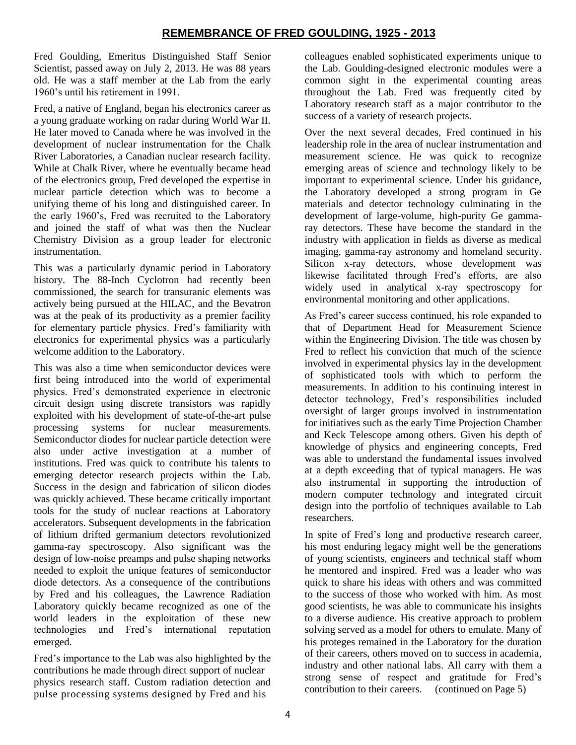# **REMEMBRANCE OF FRED GOULDING, 1925 - 2013**

Fred Goulding, Emeritus Distinguished Staff Senior Scientist, passed away on July 2, 2013. He was 88 years old. He was a staff member at the Lab from the early 1960's until his retirement in 1991.

Fred, a native of England, began his electronics career as a young graduate working on radar during World War II. He later moved to Canada where he was involved in the development of nuclear instrumentation for the Chalk River Laboratories, a Canadian nuclear research facility. While at Chalk River, where he eventually became head of the electronics group, Fred developed the expertise in nuclear particle detection which was to become a unifying theme of his long and distinguished career. In the early 1960's, Fred was recruited to the Laboratory and joined the staff of what was then the Nuclear Chemistry Division as a group leader for electronic instrumentation.

This was a particularly dynamic period in Laboratory history. The 88-Inch Cyclotron had recently been commissioned, the search for transuranic elements was actively being pursued at the HILAC, and the Bevatron was at the peak of its productivity as a premier facility for elementary particle physics. Fred's familiarity with electronics for experimental physics was a particularly welcome addition to the Laboratory.

This was also a time when semiconductor devices were first being introduced into the world of experimental physics. Fred's demonstrated experience in electronic circuit design using discrete transistors was rapidly exploited with his development of state-of-the-art pulse processing systems for nuclear measurements. Semiconductor diodes for nuclear particle detection were also under active investigation at a number of institutions. Fred was quick to contribute his talents to emerging detector research projects within the Lab. Success in the design and fabrication of silicon diodes was quickly achieved. These became critically important tools for the study of nuclear reactions at Laboratory accelerators. Subsequent developments in the fabrication of lithium drifted germanium detectors revolutionized gamma-ray spectroscopy. Also significant was the design of low-noise preamps and pulse shaping networks needed to exploit the unique features of semiconductor diode detectors. As a consequence of the contributions by Fred and his colleagues, the Lawrence Radiation Laboratory quickly became recognized as one of the world leaders in the exploitation of these new technologies and Fred's international reputation emerged.

Fred's importance to the Lab was also highlighted by the contributions he made through direct support of nuclear physics research staff. Custom radiation detection and pulse processing systems designed by Fred and his

colleagues enabled sophisticated experiments unique to the Lab. Goulding-designed electronic modules were a common sight in the experimental counting areas throughout the Lab. Fred was frequently cited by Laboratory research staff as a major contributor to the success of a variety of research projects.

Over the next several decades, Fred continued in his leadership role in the area of nuclear instrumentation and measurement science. He was quick to recognize emerging areas of science and technology likely to be important to experimental science. Under his guidance, the Laboratory developed a strong program in Ge materials and detector technology culminating in the development of large-volume, high-purity Ge gammaray detectors. These have become the standard in the industry with application in fields as diverse as medical imaging, gamma-ray astronomy and homeland security. Silicon x-ray detectors, whose development was likewise facilitated through Fred's efforts, are also widely used in analytical x-ray spectroscopy for environmental monitoring and other applications.

As Fred's career success continued, his role expanded to that of Department Head for Measurement Science within the Engineering Division. The title was chosen by Fred to reflect his conviction that much of the science involved in experimental physics lay in the development of sophisticated tools with which to perform the measurements. In addition to his continuing interest in detector technology, Fred's responsibilities included oversight of larger groups involved in instrumentation for initiatives such as the early Time Projection Chamber and Keck Telescope among others. Given his depth of knowledge of physics and engineering concepts, Fred was able to understand the fundamental issues involved at a depth exceeding that of typical managers. He was also instrumental in supporting the introduction of modern computer technology and integrated circuit design into the portfolio of techniques available to Lab researchers.

In spite of Fred's long and productive research career, his most enduring legacy might well be the generations of young scientists, engineers and technical staff whom he mentored and inspired. Fred was a leader who was quick to share his ideas with others and was committed to the success of those who worked with him. As most good scientists, he was able to communicate his insights to a diverse audience. His creative approach to problem solving served as a model for others to emulate. Many of his proteges remained in the Laboratory for the duration of their careers, others moved on to success in academia, industry and other national labs. All carry with them a strong sense of respect and gratitude for Fred's contribution to their careers. (continued on Page 5)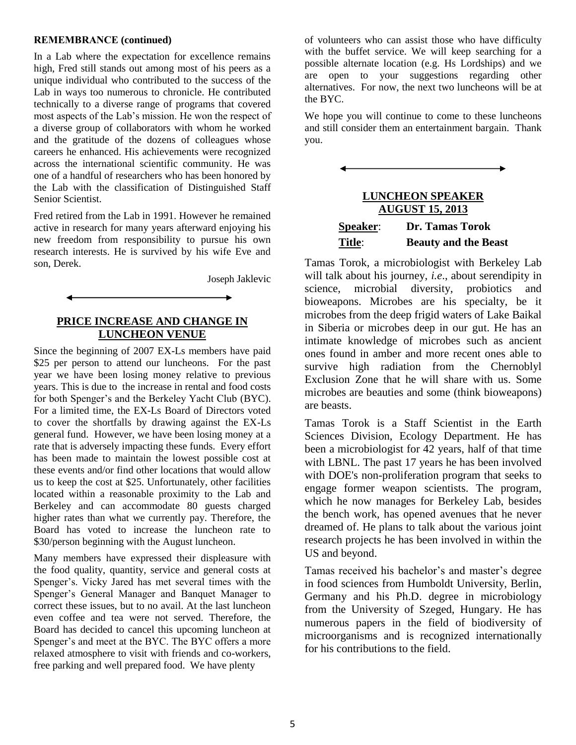#### **REMEMBRANCE (continued)**

In a Lab where the expectation for excellence remains high, Fred still stands out among most of his peers as a unique individual who contributed to the success of the Lab in ways too numerous to chronicle. He contributed technically to a diverse range of programs that covered most aspects of the Lab's mission. He won the respect of a diverse group of collaborators with whom he worked and the gratitude of the dozens of colleagues whose careers he enhanced. His achievements were recognized across the international scientific community. He was one of a handful of researchers who has been honored by the Lab with the classification of Distinguished Staff Senior Scientist.

Fred retired from the Lab in 1991. However he remained active in research for many years afterward enjoying his new freedom from responsibility to pursue his own research interests. He is survived by his wife Eve and son, Derek.

Joseph Jaklevic

#### **PRICE INCREASE AND CHANGE IN LUNCHEON VENUE**

Since the beginning of 2007 EX-Ls members have paid \$25 per person to attend our luncheons. For the past year we have been losing money relative to previous years. This is due to the increase in rental and food costs for both Spenger's and the Berkeley Yacht Club (BYC). For a limited time, the EX-Ls Board of Directors voted to cover the shortfalls by drawing against the EX-Ls general fund. However, we have been losing money at a rate that is adversely impacting these funds. Every effort has been made to maintain the lowest possible cost at these events and/or find other locations that would allow us to keep the cost at \$25. Unfortunately, other facilities located within a reasonable proximity to the Lab and Berkeley and can accommodate 80 guests charged higher rates than what we currently pay. Therefore, the Board has voted to increase the luncheon rate to \$30/person beginning with the August luncheon.

Many members have expressed their displeasure with the food quality, quantity, service and general costs at Spenger's. Vicky Jared has met several times with the Spenger's General Manager and Banquet Manager to correct these issues, but to no avail. At the last luncheon even coffee and tea were not served. Therefore, the Board has decided to cancel this upcoming luncheon at Spenger's and meet at the BYC. The BYC offers a more relaxed atmosphere to visit with friends and co-workers, free parking and well prepared food. We have plenty

of volunteers who can assist those who have difficulty with the buffet service. We will keep searching for a possible alternate location (e.g. Hs Lordships) and we are open to your suggestions regarding other alternatives. For now, the next two luncheons will be at the BYC.

We hope you will continue to come to these luncheons and still consider them an entertainment bargain. Thank you.

# **LUNCHEON SPEAKER AUGUST 15, 2013 Speaker**: **Dr. Tamas Torok Title**: **Beauty and the Beast**

Tamas Torok, a microbiologist with Berkeley Lab will talk about his journey, *i.e*., about serendipity in science, microbial diversity, probiotics and bioweapons. Microbes are his specialty, be it microbes from the deep frigid waters of Lake Baikal in Siberia or microbes deep in our gut. He has an intimate knowledge of microbes such as ancient ones found in amber and more recent ones able to survive high radiation from the Chernoblyl Exclusion Zone that he will share with us. Some microbes are beauties and some (think bioweapons) are beasts.

Tamas Torok is a Staff Scientist in the Earth Sciences Division, Ecology Department. He has been a microbiologist for 42 years, half of that time with LBNL. The past 17 years he has been involved with DOE's non-proliferation program that seeks to engage former weapon scientists. The program, which he now manages for Berkeley Lab, besides the bench work, has opened avenues that he never dreamed of. He plans to talk about the various joint research projects he has been involved in within the US and beyond.

Tamas received his bachelor's and master's degree in food sciences from Humboldt University, Berlin, Germany and his Ph.D. degree in microbiology from the University of Szeged, Hungary. He has numerous papers in the field of biodiversity of microorganisms and is recognized internationally for his contributions to the field.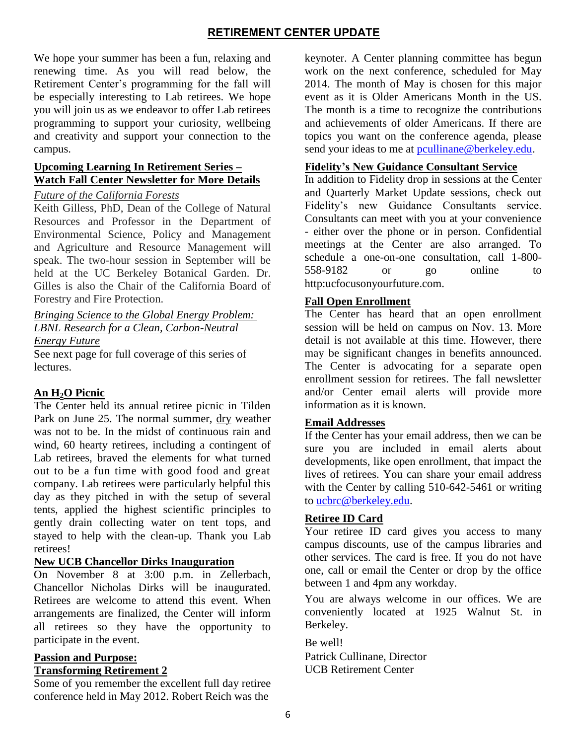# **RETIREMENT CENTER UPDATE**

We hope your summer has been a fun, relaxing and renewing time. As you will read below, the Retirement Center's programming for the fall will be especially interesting to Lab retirees. We hope you will join us as we endeavor to offer Lab retirees programming to support your curiosity, wellbeing and creativity and support your connection to the campus.

### **Upcoming Learning In Retirement Series – Watch Fall Center Newsletter for More Details**

#### *Future of the California Forests*

Keith Gilless, PhD, Dean of the College of Natural Resources and Professor in the Department of Environmental Science, Policy and Management and Agriculture and Resource Management will speak. The two-hour session in September will be held at the UC Berkeley Botanical Garden. Dr. Gilles is also the Chair of the California Board of Forestry and Fire Protection.

*Bringing Science to the Global Energy Problem: LBNL Research for a Clean, Carbon-Neutral* 

*Energy Future*

See next page for full coverage of this series of lectures.

# **An H2O Picnic**

The Center held its annual retiree picnic in Tilden Park on June 25. The normal summer, dry weather was not to be. In the midst of continuous rain and wind, 60 hearty retirees, including a contingent of Lab retirees, braved the elements for what turned out to be a fun time with good food and great company. Lab retirees were particularly helpful this day as they pitched in with the setup of several tents, applied the highest scientific principles to gently drain collecting water on tent tops, and stayed to help with the clean-up. Thank you Lab retirees!

# **New UCB Chancellor Dirks Inauguration**

On November 8 at 3:00 p.m. in Zellerbach, Chancellor Nicholas Dirks will be inaugurated. Retirees are welcome to attend this event. When arrangements are finalized, the Center will inform all retirees so they have the opportunity to participate in the event.

# **Passion and Purpose:**

#### **Transforming Retirement 2**

Some of you remember the excellent full day retiree conference held in May 2012. Robert Reich was the

keynoter. A Center planning committee has begun work on the next conference, scheduled for May 2014. The month of May is chosen for this major event as it is Older Americans Month in the US. The month is a time to recognize the contributions and achievements of older Americans. If there are topics you want on the conference agenda, please send your ideas to me at [pcullinane@berkeley.edu.](mailto:pcullinane@berkeley.edu)

#### **Fidelity's New Guidance Consultant Service**

In addition to Fidelity drop in sessions at the Center and Quarterly Market Update sessions, check out Fidelity's new Guidance Consultants service. Consultants can meet with you at your convenience - either over the phone or in person. Confidential meetings at the Center are also arranged. To schedule a one-on-one consultation, call 1-800- 558-9182 or go online to http:ucfocusonyourfuture.com.

#### **Fall Open Enrollment**

The Center has heard that an open enrollment session will be held on campus on Nov. 13. More detail is not available at this time. However, there may be significant changes in benefits announced. The Center is advocating for a separate open enrollment session for retirees. The fall newsletter and/or Center email alerts will provide more information as it is known.

# **Email Addresses**

If the Center has your email address, then we can be sure you are included in email alerts about developments, like open enrollment, that impact the lives of retirees. You can share your email address with the Center by calling 510-642-5461 or writing to [ucbrc@berkeley.edu.](mailto:ucbrc@berkeley.edu)

# **Retiree ID Card**

Your retiree ID card gives you access to many campus discounts, use of the campus libraries and other services. The card is free. If you do not have one, call or email the Center or drop by the office between 1 and 4pm any workday.

You are always welcome in our offices. We are conveniently located at 1925 Walnut St. in Berkeley.

Be well!

Patrick Cullinane, Director UCB Retirement Center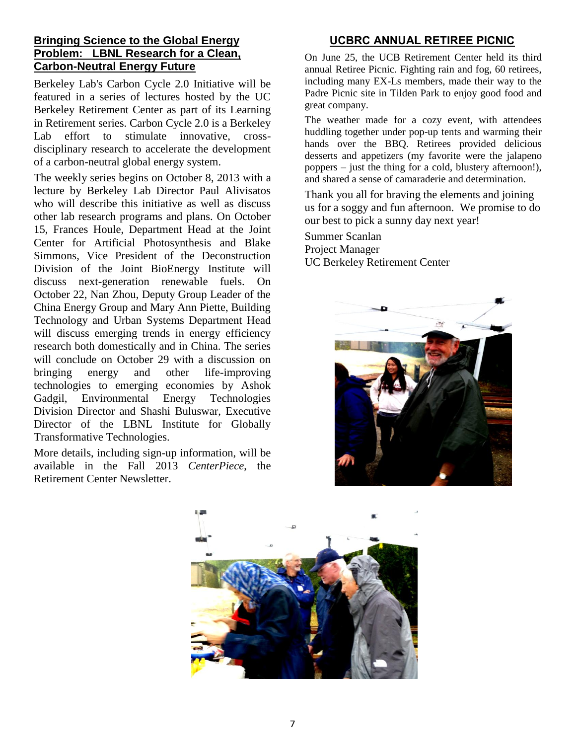# **Bringing Science to the Global Energy Problem: LBNL Research for a Clean, Carbon-Neutral Energy Future**

Berkeley Lab's Carbon Cycle 2.0 Initiative will be featured in a series of lectures hosted by the UC Berkeley Retirement Center as part of its Learning in Retirement series. Carbon Cycle 2.0 is a Berkeley Lab effort to stimulate innovative, crossdisciplinary research to accelerate the development of a carbon-neutral global energy system.

The weekly series begins on October 8, 2013 with a lecture by Berkeley Lab Director Paul Alivisatos who will describe this initiative as well as discuss other lab research programs and plans. On October 15, Frances Houle, Department Head at the Joint Center for Artificial Photosynthesis and Blake Simmons, Vice President of the Deconstruction Division of the Joint BioEnergy Institute will discuss next-generation renewable fuels. On October 22, Nan Zhou, Deputy Group Leader of the China Energy Group and Mary Ann Piette, Building Technology and Urban Systems Department Head will discuss emerging trends in energy efficiency research both domestically and in China. The series will conclude on October 29 with a discussion on bringing energy and other life-improving technologies to emerging economies by Ashok Gadgil, Environmental Energy Technologies Division Director and Shashi Buluswar, Executive Director of the LBNL Institute for Globally Transformative Technologies.

More details, including sign-up information, will be available in the Fall 2013 *CenterPiece*, the Retirement Center Newsletter.

# **UCBRC ANNUAL RETIREE PICNIC**

On June 25, the UCB Retirement Center held its third annual Retiree Picnic. Fighting rain and fog, 60 retirees, including many EX-Ls members, made their way to the Padre Picnic site in Tilden Park to enjoy good food and great company.

The weather made for a cozy event, with attendees huddling together under pop-up tents and warming their hands over the BBQ. Retirees provided delicious desserts and appetizers (my favorite were the jalapeno poppers – just the thing for a cold, blustery afternoon!), and shared a sense of camaraderie and determination.

Thank you all for braving the elements and joining us for a soggy and fun afternoon. We promise to do our best to pick a sunny day next year!

Summer Scanlan Project Manager UC Berkeley Retirement Center



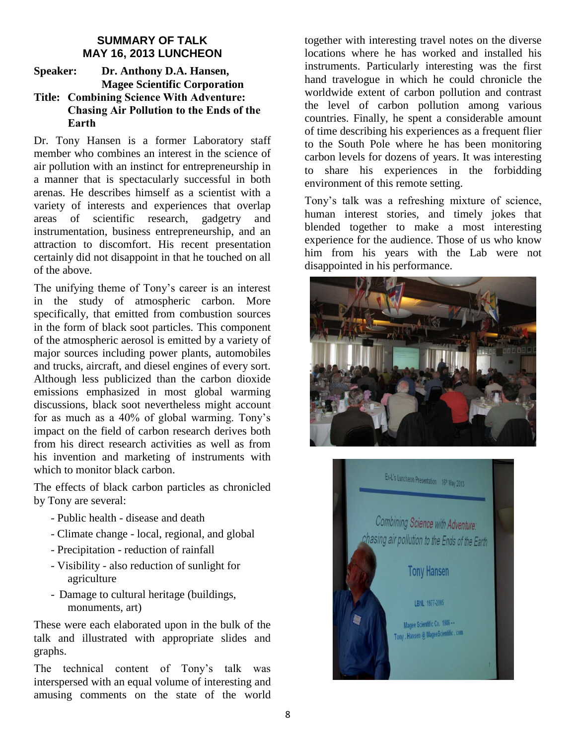# **SUMMARY OF TALK MAY 16, 2013 LUNCHEON**

#### **Speaker: Dr. Anthony D.A. Hansen, Magee Scientific Corporation Title: Combining Science With Adventure: Chasing Air Pollution to the Ends of the Earth**

Dr. Tony Hansen is a former Laboratory staff member who combines an interest in the science of air pollution with an instinct for entrepreneurship in a manner that is spectacularly successful in both arenas. He describes himself as a scientist with a variety of interests and experiences that overlap areas of scientific research, gadgetry and instrumentation, business entrepreneurship, and an attraction to discomfort. His recent presentation certainly did not disappoint in that he touched on all of the above.

The unifying theme of Tony's career is an interest in the study of atmospheric carbon. More specifically, that emitted from combustion sources in the form of black soot particles. This component of the atmospheric aerosol is emitted by a variety of major sources including power plants, automobiles and trucks, aircraft, and diesel engines of every sort. Although less publicized than the carbon dioxide emissions emphasized in most global warming discussions, black soot nevertheless might account for as much as a 40% of global warming. Tony's impact on the field of carbon research derives both from his direct research activities as well as from his invention and marketing of instruments with which to monitor black carbon.

The effects of black carbon particles as chronicled by Tony are several:

- Public health disease and death
- Climate change local, regional, and global
- Precipitation reduction of rainfall
- Visibility also reduction of sunlight for agriculture
- Damage to cultural heritage (buildings, monuments, art)

These were each elaborated upon in the bulk of the talk and illustrated with appropriate slides and graphs.

The technical content of Tony's talk was interspersed with an equal volume of interesting and amusing comments on the state of the world

together with interesting travel notes on the diverse locations where he has worked and installed his instruments. Particularly interesting was the first hand travelogue in which he could chronicle the worldwide extent of carbon pollution and contrast the level of carbon pollution among various countries. Finally, he spent a considerable amount of time describing his experiences as a frequent flier to the South Pole where he has been monitoring carbon levels for dozens of years. It was interesting to share his experiences in the forbidding environment of this remote setting.

Tony's talk was a refreshing mixture of science, human interest stories, and timely jokes that blended together to make a most interesting experience for the audience. Those of us who know him from his years with the Lab were not disappointed in his performance.



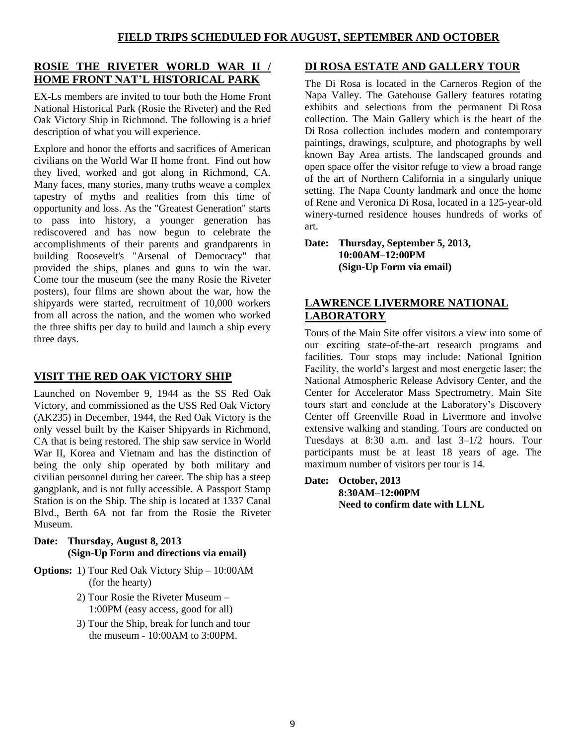# **ROSIE THE RIVETER WORLD WAR II / HOME FRONT NAT'L HISTORICAL PARK**

EX-Ls members are invited to tour both the Home Front National Historical Park (Rosie the Riveter) and the Red Oak Victory Ship in Richmond. The following is a brief description of what you will experience.

Explore and honor the efforts and sacrifices of American civilians on the World War II home front. Find out how they lived, worked and got along in Richmond, CA. Many faces, many stories, many truths weave a complex tapestry of myths and realities from this time of opportunity and loss. As the "Greatest Generation" starts to pass into history, a younger generation has rediscovered and has now begun to celebrate the accomplishments of their parents and grandparents in building Roosevelt's "Arsenal of Democracy" that provided the ships, planes and guns to win the war. Come tour the museum (see the many Rosie the Riveter posters), four films are shown about the war, how the shipyards were started, recruitment of 10,000 workers from all across the nation, and the women who worked the three shifts per day to build and launch a ship every three days.

# **VISIT THE RED OAK VICTORY SHIP**

Launched on November 9, 1944 as the SS Red Oak Victory, and commissioned as the USS Red Oak Victory (AK235) in December, 1944, the Red Oak Victory is the only vessel built by the Kaiser Shipyards in Richmond, CA that is being restored. The ship saw service in World War II, Korea and Vietnam and has the distinction of being the only ship operated by both military and civilian personnel during her career. The ship has a steep gangplank, and is not fully accessible. A Passport Stamp Station is on the Ship. The ship is located at 1337 Canal Blvd., Berth 6A not far from the Rosie the Riveter Museum.

#### **Date: Thursday, August 8, 2013 (Sign-Up Form and directions via email)**

- **Options:** 1) Tour Red Oak Victory Ship 10:00AM (for the hearty)
	- 2) Tour Rosie the Riveter Museum 1:00PM (easy access, good for all)
	- 3) Tour the Ship, break for lunch and tour the museum - 10:00AM to 3:00PM.

# **DI ROSA ESTATE AND GALLERY TOUR**

The Di Rosa is located in the Carneros Region of the Napa Valley. The Gatehouse Gallery features rotating exhibits and selections from the permanent Di Rosa collection. The Main Gallery which is the heart of the Di Rosa collection includes modern and contemporary paintings, drawings, sculpture, and photographs by well known Bay Area artists. The landscaped grounds and open space offer the visitor refuge to view a broad range of the art of Northern California in a singularly unique setting. The Napa County landmark and once the home of Rene and Veronica Di Rosa, located in a 125-year-old winery-turned residence houses hundreds of works of art.

**Date: Thursday, September 5, 2013, 10:00AM–12:00PM (Sign-Up Form via email)**

# **LAWRENCE LIVERMORE NATIONAL LABORATORY**

Tours of the Main Site offer visitors a view into some of our exciting state-of-the-art research programs and facilities. Tour stops may include: National Ignition Facility, the world's largest and most energetic laser; the National Atmospheric Release Advisory Center, and the [Center for Accelerator Mass Spectrometry.](https://cams.llnl.gov/) Main Site tours start and conclude at the Laboratory's [Discovery](https://www.llnl.gov/about/discoverycenter.html)  [Center](https://www.llnl.gov/about/discoverycenter.html) off Greenville Road in Livermore and involve extensive walking and standing. Tours are conducted on Tuesdays at 8:30 a.m. and last 3–1/2 hours. Tour participants must be at least 18 years of age. The maximum number of visitors per tour is 14.

**Date: October, 2013 8:30AM–12:00PM Need to confirm date with LLNL**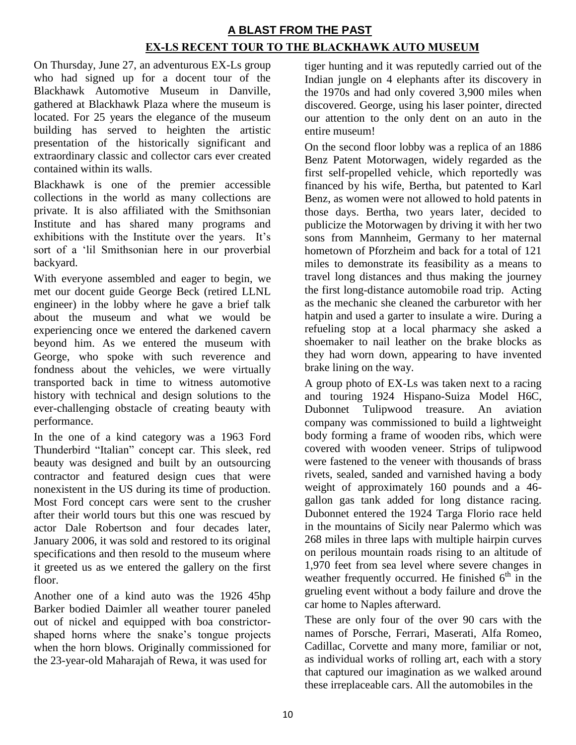# **A BLAST FROM THE PAST EX-LS RECENT TOUR TO THE BLACKHAWK AUTO MUSEUM**

On Thursday, June 27, an adventurous EX-Ls group who had signed up for a docent tour of the Blackhawk Automotive Museum in Danville, gathered at Blackhawk Plaza where the museum is located. For 25 years the elegance of the museum building has served to heighten the artistic presentation of the historically significant and extraordinary classic and collector cars ever created contained within its walls.

Blackhawk is one of the premier accessible collections in the world as many collections are private. It is also affiliated with the Smithsonian Institute and has shared many programs and exhibitions with the Institute over the years. It's sort of a 'lil Smithsonian here in our proverbial backyard.

With everyone assembled and eager to begin, we met our docent guide George Beck (retired LLNL engineer) in the lobby where he gave a brief talk about the museum and what we would be experiencing once we entered the darkened cavern beyond him. As we entered the museum with George, who spoke with such reverence and fondness about the vehicles, we were virtually transported back in time to witness automotive history with technical and design solutions to the ever-challenging obstacle of creating beauty with performance.

In the one of a kind category was a 1963 Ford Thunderbird "Italian" concept car. This sleek, red beauty was designed and built by an outsourcing contractor and featured design cues that were nonexistent in the US during its time of production. Most Ford concept cars were sent to the crusher after their world tours but this one was rescued by actor Dale Robertson and four decades later, January 2006, it was sold and restored to its original specifications and then resold to the museum where it greeted us as we entered the gallery on the first floor.

Another one of a kind auto was the 1926 45hp Barker bodied Daimler all weather tourer paneled out of nickel and equipped with boa constrictorshaped horns where the snake's tongue projects when the horn blows. Originally commissioned for the 23-year-old Maharajah of Rewa, it was used for

tiger hunting and it was reputedly carried out of the Indian jungle on 4 elephants after its discovery in the 1970s and had only covered 3,900 miles when discovered. George, using his laser pointer, directed our attention to the only dent on an auto in the entire museum!

On the second floor lobby was a replica of an 1886 Benz Patent Motorwagen, widely regarded as the first self-propelled vehicle, which reportedly was financed by his wife, Bertha, but patented to Karl Benz, as women were not allowed to hold patents in those days. Bertha, two years later, decided to publicize the Motorwagen by driving it with her two sons from Mannheim, Germany to her maternal hometown of Pforzheim and back for a total of 121 miles to demonstrate its feasibility as a means to travel long distances and thus making the journey the first long-distance automobile road trip. Acting as the mechanic she cleaned the carburetor with her hatpin and used a garter to insulate a wire. During a refueling stop at a local pharmacy she asked a shoemaker to nail leather on the brake blocks as they had worn down, appearing to have invented brake lining on the way.

A group photo of EX-Ls was taken next to a racing and touring 1924 Hispano-Suiza Model H6C, Dubonnet Tulipwood treasure. An aviation company was commissioned to build a lightweight body forming a frame of wooden ribs, which were covered with wooden veneer. Strips of tulipwood were fastened to the veneer with thousands of brass rivets, sealed, sanded and varnished having a body weight of approximately 160 pounds and a 46 gallon gas tank added for long distance racing. Dubonnet entered the 1924 Targa Florio race held in the mountains of Sicily near Palermo which was 268 miles in three laps with multiple hairpin curves on perilous mountain roads rising to an altitude of 1,970 feet from sea level where severe changes in weather frequently occurred. He finished  $6<sup>th</sup>$  in the grueling event without a body failure and drove the car home to Naples afterward.

These are only four of the over 90 cars with the names of Porsche, Ferrari, Maserati, Alfa Romeo, Cadillac, Corvette and many more, familiar or not, as individual works of rolling art, each with a story that captured our imagination as we walked around these irreplaceable cars. All the automobiles in the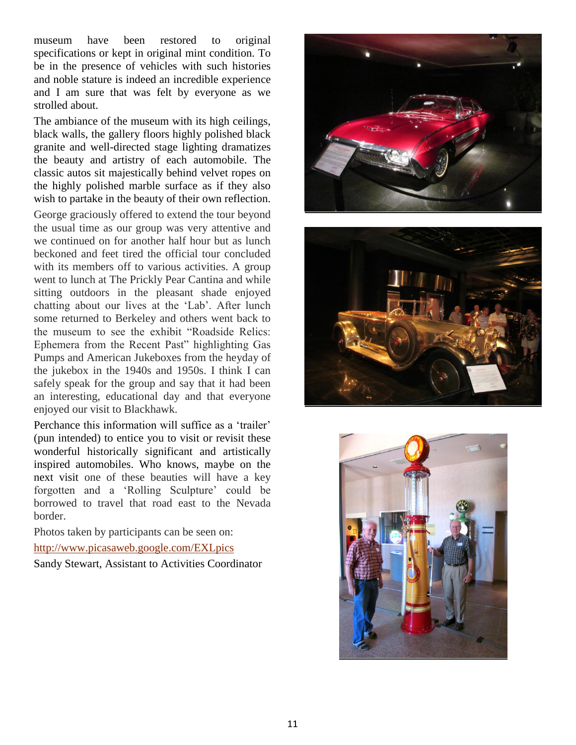museum have been restored to original specifications or kept in original mint condition. To be in the presence of vehicles with such histories and noble stature is indeed an incredible experience and I am sure that was felt by everyone as we strolled about.

The ambiance of the museum with its high ceilings, black walls, the gallery floors highly polished black granite and well-directed stage lighting dramatizes the beauty and artistry of each automobile. The classic autos sit majestically behind velvet ropes on the highly polished marble surface as if they also wish to partake in the beauty of their own reflection.

George graciously offered to extend the tour beyond the usual time as our group was very attentive and we continued on for another half hour but as lunch beckoned and feet tired the official tour concluded with its members off to various activities. A group went to lunch at The Prickly Pear Cantina and while sitting outdoors in the pleasant shade enjoyed chatting about our lives at the 'Lab'. After lunch some returned to Berkeley and others went back to the museum to see the exhibit "Roadside Relics: Ephemera from the Recent Past" highlighting Gas Pumps and American Jukeboxes from the heyday of the jukebox in the 1940s and 1950s. I think I can safely speak for the group and say that it had been an interesting, educational day and that everyone enjoyed our visit to Blackhawk.

Perchance this information will suffice as a 'trailer' (pun intended) to entice you to visit or revisit these wonderful historically significant and artistically inspired automobiles. Who knows, maybe on the next visit one of these beauties will have a key forgotten and a 'Rolling Sculpture' could be borrowed to travel that road east to the Nevada border.

Photos taken by participants can be seen on: <http://www.picasaweb.google.com/EXLpics>

Sandy Stewart, Assistant to Activities Coordinator





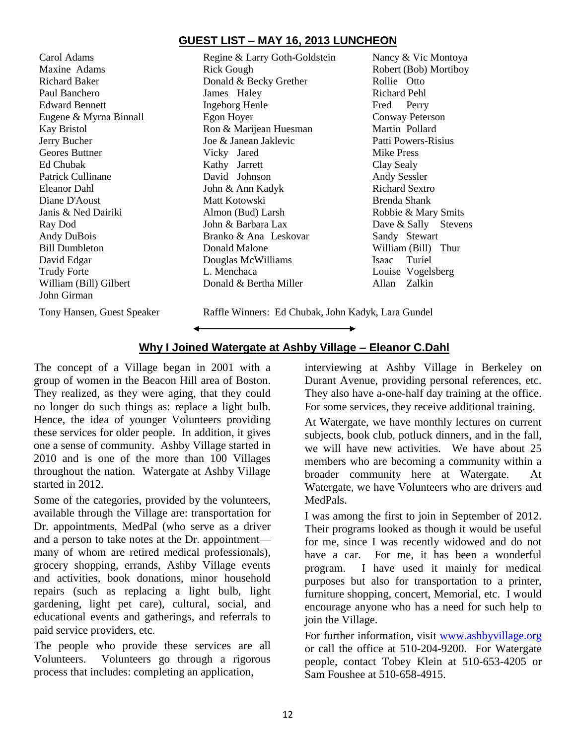# **GUEST LIST – MAY 16, 2013 LUNCHEON**

Carol Adams Regine & Larry Goth-Goldstein Nancy & Vic Montoya John Girman

Maxine Adams **Rick Gough** Rick Gough Robert (Bob) Mortiboy Richard Baker **Donald & Becky Grether** Rollie Otto Paul Banchero James Haley Richard Pehl Edward Bennett **Ingeborg Henle** Fred Perry Eugene & Myrna Binnall Egon Hoyer Conway Peterson Kay Bristol **Ron & Marijean Huesman** Martin Pollard Jerry Bucher Joe & Janean Jaklevic Patti Powers-Risius Geores Buttner **Vicky** Jared Mike Press Ed Chubak Kathy Jarrett Clay Sealy Patrick Cullinane **David Johnson** Andy Sessler Eleanor Dahl John & Ann Kadyk Richard Sextro Diane D'Aoust Matt Kotowski Brenda Shank Janis & Ned Dairiki Almon (Bud) Larsh Robbie & Mary Smits Ray Dod John & Barbara Lax Dave & Sally Stevens Andy DuBois Branko & Ana Leskovar Sandy Stewart Bill Dumbleton Donald Malone William (Bill) Thur David Edgar Douglas McWilliams Isaac Turiel Trudy Forte **L. Menchaca** L. Menchaca Louise Vogelsberg William (Bill) Gilbert **Donald & Bertha Miller** Allan Zalkin

Tony Hansen, Guest Speaker Raffle Winners: Ed Chubak, John Kadyk, Lara Gundel

# **Why I Joined Watergate at Ashby Village – Eleanor C.Dahl**

The concept of a Village began in 2001 with a group of women in the Beacon Hill area of Boston. They realized, as they were aging, that they could no longer do such things as: replace a light bulb. Hence, the idea of younger Volunteers providing these services for older people. In addition, it gives one a sense of community. Ashby Village started in 2010 and is one of the more than 100 Villages throughout the nation. Watergate at Ashby Village started in 2012.

◢

Some of the categories, provided by the volunteers, available through the Village are: transportation for Dr. appointments, MedPal (who serve as a driver and a person to take notes at the Dr. appointment many of whom are retired medical professionals), grocery shopping, errands, Ashby Village events and activities, book donations, minor household repairs (such as replacing a light bulb, light gardening, light pet care), cultural, social, and educational events and gatherings, and referrals to paid service providers, etc.

The people who provide these services are all Volunteers. Volunteers go through a rigorous process that includes: completing an application,

th a interviewing at Ashby Village in Berkeley on Durant Avenue, providing personal references, etc. They also have a-one-half day training at the office. For some services, they receive additional training.

> At Watergate, we have monthly lectures on current subjects, book club, potluck dinners, and in the fall, we will have new activities. We have about 25 members who are becoming a community within a broader community here at Watergate. At Watergate, we have Volunteers who are drivers and MedPals.

> I was among the first to join in September of 2012. Their programs looked as though it would be useful for me, since I was recently widowed and do not have a car. For me, it has been a wonderful program. I have used it mainly for medical purposes but also for transportation to a printer, furniture shopping, concert, Memorial, etc. I would encourage anyone who has a need for such help to join the Village.

> For further information, visit [www.ashbyvillage.org](http://www.ashbyvillage.org/) or call the office at 510-204-9200. For Watergate people, contact Tobey Klein at 510-653-4205 or Sam Foushee at 510-658-4915.